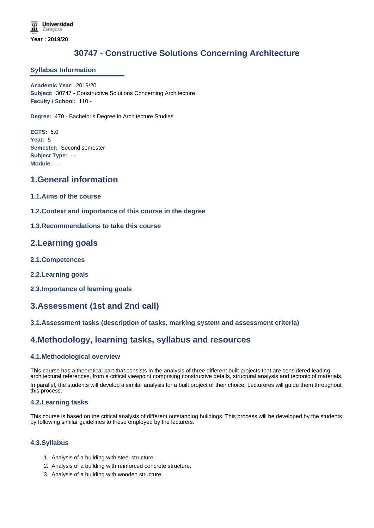# **30747 - Constructive Solutions Concerning Architecture**

### **Syllabus Information**

**Academic Year:** 2019/20 **Subject:** 30747 - Constructive Solutions Concerning Architecture **Faculty / School:** 110 -

**Degree:** 470 - Bachelor's Degree in Architecture Studies

**ECTS:** 6.0 **Year:** 5 **Semester:** Second semester **Subject Type:** --- **Module:** ---

## **1.General information**

- **1.1.Aims of the course**
- **1.2.Context and importance of this course in the degree**
- **1.3.Recommendations to take this course**

## **2.Learning goals**

- **2.1.Competences**
- **2.2.Learning goals**
- **2.3.Importance of learning goals**

## **3.Assessment (1st and 2nd call)**

### **3.1.Assessment tasks (description of tasks, marking system and assessment criteria)**

# **4.Methodology, learning tasks, syllabus and resources**

#### **4.1.Methodological overview**

This course has a theoretical part that consists in the analysis of three different built projects that are considered leading architectural references, from a critical viewpoint comprising constructive details, structural analysis and tectonic of materials. In parallel, the students will develop a similar analysis for a built project of their choice. Lectureres will guide them throughout this process.

#### **4.2.Learning tasks**

This course is based on the critical analysis of different outstanding buildings. This process will be developed by the students by following similar guidelines to these employed by the lecturers.

### **4.3.Syllabus**

- 1. Analysis of a building with steel structure.
- 2. Analysis of a building with reinforced concrete structure.
- 3. Analysis of a building with wooden structure.